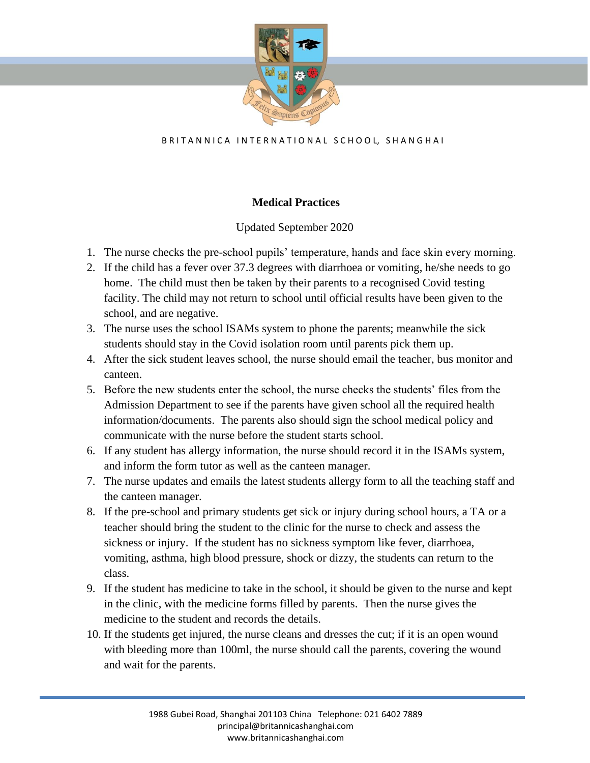

## B R I T A N N I C A IN T E R N A T I O N A L S C H O O L, S H A N G H A I

## **Medical Practices**

## Updated September 2020

- 1. The nurse checks the pre-school pupils' temperature, hands and face skin every morning.
- 2. If the child has a fever over 37.3 degrees with diarrhoea or vomiting, he/she needs to go home. The child must then be taken by their parents to a recognised Covid testing facility. The child may not return to school until official results have been given to the school, and are negative.
- 3. The nurse uses the school ISAMs system to phone the parents; meanwhile the sick students should stay in the Covid isolation room until parents pick them up.
- 4. After the sick student leaves school, the nurse should email the teacher, bus monitor and canteen.
- 5. Before the new students enter the school, the nurse checks the students' files from the Admission Department to see if the parents have given school all the required health information/documents. The parents also should sign the school medical policy and communicate with the nurse before the student starts school.
- 6. If any student has allergy information, the nurse should record it in the ISAMs system, and inform the form tutor as well as the canteen manager.
- 7. The nurse updates and emails the latest students allergy form to all the teaching staff and the canteen manager.
- 8. If the pre-school and primary students get sick or injury during school hours, a TA or a teacher should bring the student to the clinic for the nurse to check and assess the sickness or injury. If the student has no sickness symptom like fever, diarrhoea, vomiting, asthma, high blood pressure, shock or dizzy, the students can return to the class.
- 9. If the student has medicine to take in the school, it should be given to the nurse and kept in the clinic, with the medicine forms filled by parents. Then the nurse gives the medicine to the student and records the details.
- 10. If the students get injured, the nurse cleans and dresses the cut; if it is an open wound with bleeding more than 100ml, the nurse should call the parents, covering the wound and wait for the parents.